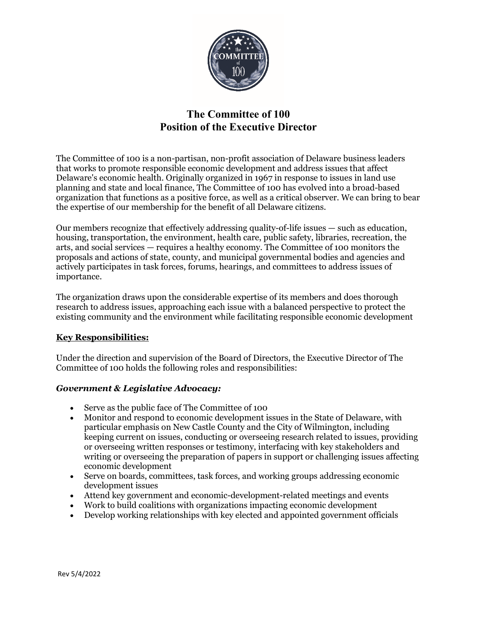

# **The Committee of 100 Position of the Executive Director**

The Committee of 100 is a non-partisan, non-profit association of Delaware business leaders that works to promote responsible economic development and address issues that affect Delaware's economic health. Originally organized in 1967 in response to issues in land use planning and state and local finance, The Committee of 100 has evolved into a broad-based organization that functions as a positive force, as well as a critical observer. We can bring to bear the expertise of our membership for the benefit of all Delaware citizens.

Our members recognize that effectively addressing quality-of-life issues — such as education, housing, transportation, the environment, health care, public safety, libraries, recreation, the arts, and social services — requires a healthy economy. The Committee of 100 monitors the proposals and actions of state, county, and municipal governmental bodies and agencies and actively participates in task forces, forums, hearings, and committees to address issues of importance.

The organization draws upon the considerable expertise of its members and does thorough research to address issues, approaching each issue with a balanced perspective to protect the existing community and the environment while facilitating responsible economic development

## **Key Responsibilities:**

Under the direction and supervision of the Board of Directors, the Executive Director of The Committee of 100 holds the following roles and responsibilities:

## *Government & Legislative Advocacy:*

- Serve as the public face of The Committee of 100
- Monitor and respond to economic development issues in the State of Delaware, with particular emphasis on New Castle County and the City of Wilmington, including keeping current on issues, conducting or overseeing research related to issues, providing or overseeing written responses or testimony, interfacing with key stakeholders and writing or overseeing the preparation of papers in support or challenging issues affecting economic development
- Serve on boards, committees, task forces, and working groups addressing economic development issues
- Attend key government and economic-development-related meetings and events
- Work to build coalitions with organizations impacting economic development
- Develop working relationships with key elected and appointed government officials